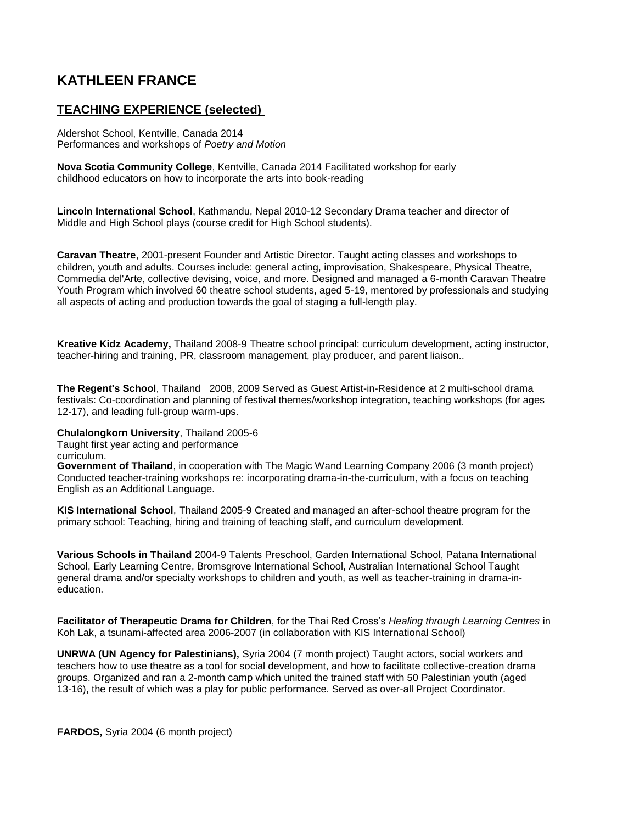## **KATHLEEN FRANCE**

## **TEACHING EXPERIENCE (selected)**

Aldershot School, Kentville, Canada 2014 Performances and workshops of *Poetry and Motion* 

**Nova Scotia Community College**, Kentville, Canada 2014 Facilitated workshop for early childhood educators on how to incorporate the arts into book-reading

**Lincoln International School**, Kathmandu, Nepal 2010-12 Secondary Drama teacher and director of Middle and High School plays (course credit for High School students).

**Caravan Theatre**, 2001-present Founder and Artistic Director. Taught acting classes and workshops to children, youth and adults. Courses include: general acting, improvisation, Shakespeare, Physical Theatre, Commedia del'Arte, collective devising, voice, and more. Designed and managed a 6-month Caravan Theatre Youth Program which involved 60 theatre school students, aged 5-19, mentored by professionals and studying all aspects of acting and production towards the goal of staging a full-length play.

**Kreative Kidz Academy,** Thailand 2008-9 Theatre school principal: curriculum development, acting instructor, teacher-hiring and training, PR, classroom management, play producer, and parent liaison..

**The Regent's School**, Thailand 2008, 2009 Served as Guest Artist-in-Residence at 2 multi-school drama festivals: Co-coordination and planning of festival themes/workshop integration, teaching workshops (for ages 12-17), and leading full-group warm-ups.

## **Chulalongkorn University**, Thailand 2005-6

Taught first year acting and performance

curriculum.

**Government of Thailand**, in cooperation with The Magic Wand Learning Company 2006 (3 month project) Conducted teacher-training workshops re: incorporating drama-in-the-curriculum, with a focus on teaching English as an Additional Language.

**KIS International School**, Thailand 2005-9 Created and managed an after-school theatre program for the primary school: Teaching, hiring and training of teaching staff, and curriculum development.

**Various Schools in Thailand** 2004-9 Talents Preschool, Garden International School, Patana International School, Early Learning Centre, Bromsgrove International School, Australian International School Taught general drama and/or specialty workshops to children and youth, as well as teacher-training in drama-ineducation.

**Facilitator of Therapeutic Drama for Children**, for the Thai Red Cross's *Healing through Learning Centres* in Koh Lak, a tsunami-affected area 2006-2007 (in collaboration with KIS International School)

**UNRWA (UN Agency for Palestinians),** Syria 2004 (7 month project) Taught actors, social workers and teachers how to use theatre as a tool for social development, and how to facilitate collective-creation drama groups. Organized and ran a 2-month camp which united the trained staff with 50 Palestinian youth (aged 13-16), the result of which was a play for public performance. Served as over-all Project Coordinator.

**FARDOS,** Syria 2004 (6 month project)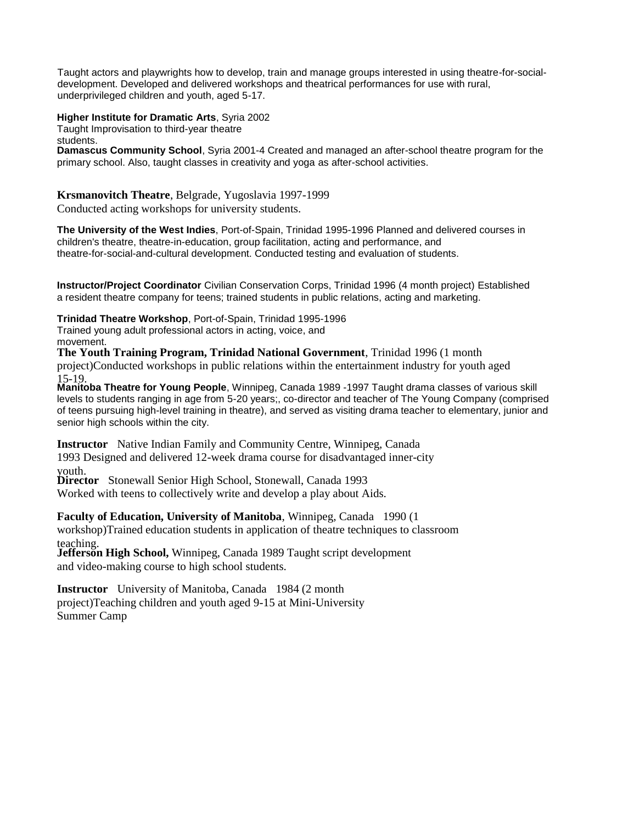Taught actors and playwrights how to develop, train and manage groups interested in using theatre-for-socialdevelopment. Developed and delivered workshops and theatrical performances for use with rural, underprivileged children and youth, aged 5-17.

**Higher Institute for Dramatic Arts**, Syria 2002

Taught Improvisation to third-year theatre

students.

**Damascus Community School**, Syria 2001-4 Created and managed an after-school theatre program for the primary school. Also, taught classes in creativity and yoga as after-school activities.

**Krsmanovitch Theatre**, Belgrade, Yugoslavia 1997-1999 Conducted acting workshops for university students.

**The University of the West Indies**, Port-of-Spain, Trinidad 1995-1996 Planned and delivered courses in children's theatre, theatre-in-education, group facilitation, acting and performance, and theatre-for-social-and-cultural development. Conducted testing and evaluation of students.

**Instructor/Project Coordinator** Civilian Conservation Corps, Trinidad 1996 (4 month project) Established a resident theatre company for teens; trained students in public relations, acting and marketing.

**Trinidad Theatre Workshop**, Port-of-Spain, Trinidad 1995-1996

Trained young adult professional actors in acting, voice, and movement.

**The Youth Training Program, Trinidad National Government**, Trinidad 1996 (1 month project)Conducted workshops in public relations within the entertainment industry for youth aged 15-19.

**Manitoba Theatre for Young People**, Winnipeg, Canada 1989 -1997 Taught drama classes of various skill levels to students ranging in age from 5-20 years;, co-director and teacher of The Young Company (comprised of teens pursuing high-level training in theatre), and served as visiting drama teacher to elementary, junior and senior high schools within the city.

**Instructor** Native Indian Family and Community Centre, Winnipeg, Canada 1993 Designed and delivered 12-week drama course for disadvantaged inner-city

youth.

**Director** Stonewall Senior High School, Stonewall, Canada 1993

Worked with teens to collectively write and develop a play about Aids.

**Faculty of Education, University of Manitoba**, Winnipeg, Canada 1990 (1 workshop)Trained education students in application of theatre techniques to classroom teaching.

**Jefferson High School,** Winnipeg, Canada 1989 Taught script development and video-making course to high school students.

**Instructor** University of Manitoba, Canada 1984 (2 month project)Teaching children and youth aged 9-15 at Mini-University Summer Camp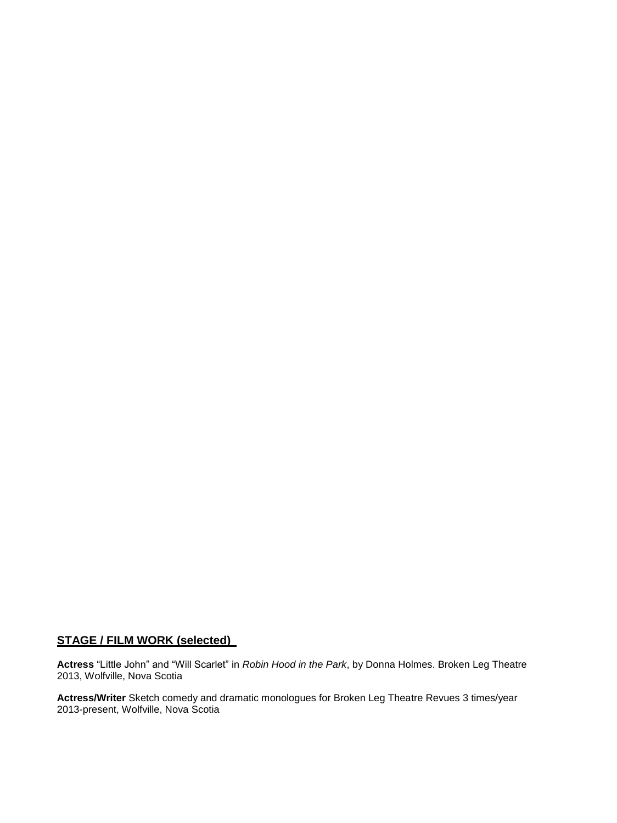## **STAGE / FILM WORK (selected)**

**Actress** "Little John" and "Will Scarlet" in *Robin Hood in the Park*, by Donna Holmes. Broken Leg Theatre 2013, Wolfville, Nova Scotia

**Actress/Writer** Sketch comedy and dramatic monologues for Broken Leg Theatre Revues 3 times/year 2013-present, Wolfville, Nova Scotia